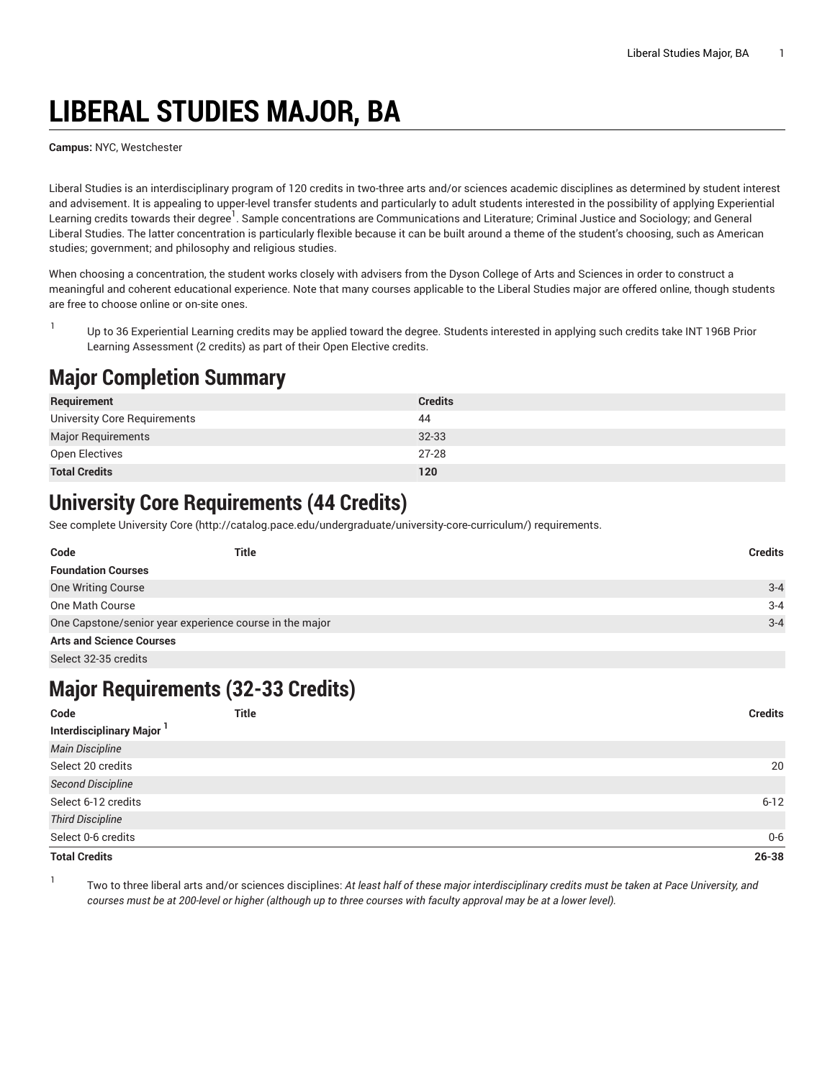# **LIBERAL STUDIES MAJOR, BA**

**Campus:** NYC, Westchester

Liberal Studies is an interdisciplinary program of 120 credits in two-three arts and/or sciences academic disciplines as determined by student interest and advisement. It is appealing to upper-level transfer students and particularly to adult students interested in the possibility of applying Experiential Learning credits towards their degree<sup>1</sup>. Sample concentrations are Communications and Literature; Criminal Justice and Sociology; and General Liberal Studies. The latter concentration is particularly flexible because it can be built around a theme of the student's choosing, such as American studies; government; and philosophy and religious studies.

When choosing a concentration, the student works closely with advisers from the Dyson College of Arts and Sciences in order to construct a meaningful and coherent educational experience. Note that many courses applicable to the Liberal Studies major are offered online, though students are free to choose online or on-site ones.

1 Up to 36 Experiential Learning credits may be applied toward the degree. Students interested in applying such credits take INT 196B Prior Learning Assessment (2 credits) as part of their Open Elective credits.

#### **Major Completion Summary**

| Requirement                  | <b>Credits</b> |
|------------------------------|----------------|
| University Core Requirements | 44             |
| <b>Major Requirements</b>    | $32 - 33$      |
| Open Electives               | $27 - 28$      |
| <b>Total Credits</b>         | 120            |

### **University Core Requirements (44 Credits)**

See complete [University](http://catalog.pace.edu/undergraduate/university-core-curriculum/) Core (<http://catalog.pace.edu/undergraduate/university-core-curriculum/>) requirements.

| Code                                                    | <b>Title</b> | <b>Credits</b> |
|---------------------------------------------------------|--------------|----------------|
| <b>Foundation Courses</b>                               |              |                |
| <b>One Writing Course</b>                               |              | $3 - 4$        |
| One Math Course                                         |              | $3 - 4$        |
| One Capstone/senior year experience course in the major |              | $3 - 4$        |
| <b>Arts and Science Courses</b>                         |              |                |
| Select 32-35 credits                                    |              |                |

#### **Major Requirements (32-33 Credits)**

| Code                                 | <b>Title</b> | <b>Credits</b> |
|--------------------------------------|--------------|----------------|
| Interdisciplinary Major <sup>1</sup> |              |                |
| <b>Main Discipline</b>               |              |                |
| Select 20 credits                    |              | 20             |
| <b>Second Discipline</b>             |              |                |
| Select 6-12 credits                  |              | $6 - 12$       |
| <b>Third Discipline</b>              |              |                |
| Select 0-6 credits                   |              | $0-6$          |
| <b>Total Credits</b>                 |              | $26 - 38$      |

1

Two to three liberal arts and/or sciences disciplines: At least half of these major interdisciplinary credits must be taken at Pace University, and courses must be at 200-level or higher (although up to three courses with faculty approval may be at a lower level).